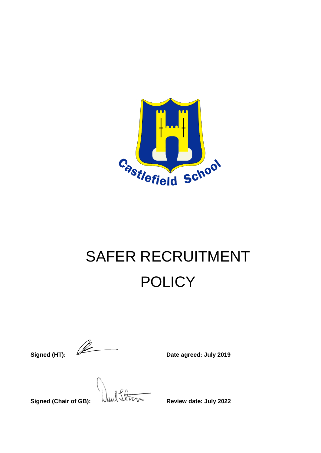

# SAFER RECRUITMENT **POLICY**

**Signed (HT): Date agreed: July 2019** 

**Signed (Chair of GB):**  $\sqrt{u}u \sqrt{v}$  Review date: July 2022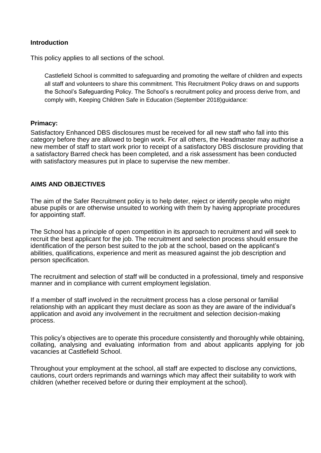# **Introduction**

This policy applies to all sections of the school.

Castlefield School is committed to safeguarding and promoting the welfare of children and expects all staff and volunteers to share this commitment. This Recruitment Policy draws on and supports the School's Safeguarding Policy. The School's s recruitment policy and process derive from, and comply with, Keeping Children Safe in Education (September 2018)quidance:

#### **Primacy:**

Satisfactory Enhanced DBS disclosures must be received for all new staff who fall into this category before they are allowed to begin work. For all others, the Headmaster may authorise a new member of staff to start work prior to receipt of a satisfactory DBS disclosure providing that a satisfactory Barred check has been completed, and a risk assessment has been conducted with satisfactory measures put in place to supervise the new member.

# **AIMS AND OBJECTIVES**

The aim of the Safer Recruitment policy is to help deter, reject or identify people who might abuse pupils or are otherwise unsuited to working with them by having appropriate procedures for appointing staff.

The School has a principle of open competition in its approach to recruitment and will seek to recruit the best applicant for the job. The recruitment and selection process should ensure the identification of the person best suited to the job at the school, based on the applicant's abilities, qualifications, experience and merit as measured against the job description and person specification.

The recruitment and selection of staff will be conducted in a professional, timely and responsive manner and in compliance with current employment legislation.

If a member of staff involved in the recruitment process has a close personal or familial relationship with an applicant they must declare as soon as they are aware of the individual's application and avoid any involvement in the recruitment and selection decision-making process.

This policy's objectives are to operate this procedure consistently and thoroughly while obtaining, collating, analysing and evaluating information from and about applicants applying for job vacancies at Castlefield School.

Throughout your employment at the school, all staff are expected to disclose any convictions, cautions, court orders reprimands and warnings which may affect their suitability to work with children (whether received before or during their employment at the school).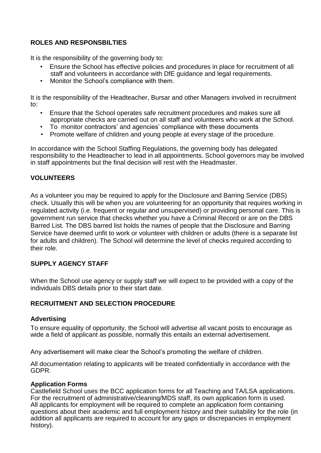# **ROLES AND RESPONSBILTIES**

It is the responsibility of the governing body to:

- Ensure the School has effective policies and procedures in place for recruitment of all staff and volunteers in accordance with DfE guidance and legal requirements.
- Monitor the School's compliance with them.

It is the responsibility of the Headteacher, Bursar and other Managers involved in recruitment to:

- Ensure that the School operates safe recruitment procedures and makes sure all appropriate checks are carried out on all staff and volunteers who work at the School.
- To monitor contractors' and agencies' compliance with these documents
- Promote welfare of children and young people at every stage of the procedure.

In accordance with the School Staffing Regulations, the governing body has delegated responsibility to the Headteacher to lead in all appointments. School governors may be involved in staff appointments but the final decision will rest with the Headmaster.

# **VOLUNTEERS**

As a volunteer you may be required to apply for the Disclosure and Barring Service (DBS) check. Usually this will be when you are volunteering for an opportunity that requires working in regulated activity (i.e. frequent or regular and unsupervised) or providing personal care. This is government run service that checks whether you have a Criminal Record or are on the DBS Barred List. The DBS barred list holds the names of people that the Disclosure and Barring Service have deemed unfit to work or volunteer with children or adults (there is a separate list for adults and children). The School will determine the level of checks required according to their role.

# **SUPPLY AGENCY STAFF**

When the School use agency or supply staff we will expect to be provided with a copy of the individuals DBS details prior to their start date.

#### **RECRUITMENT AND SELECTION PROCEDURE**

#### **Advertising**

To ensure equality of opportunity, the School will advertise all vacant posts to encourage as wide a field of applicant as possible, normally this entails an external advertisement.

Any advertisement will make clear the School's promoting the welfare of children.

All documentation relating to applicants will be treated confidentially in accordance with the GDPR.

#### **Application Forms**

Castlefield School uses the BCC application forms for all Teaching and TA/LSA applications. For the recruitment of administrative/cleaning/MDS staff, its own application form is used. All applicants for employment will be required to complete an application form containing questions about their academic and full employment history and their suitability for the role (in addition all applicants are required to account for any gaps or discrepancies in employment history).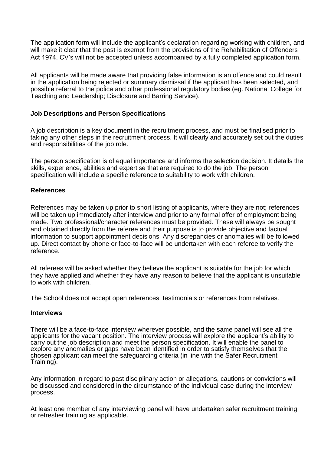The application form will include the applicant's declaration regarding working with children, and will make it clear that the post is exempt from the provisions of the Rehabilitation of Offenders Act 1974. CV's will not be accepted unless accompanied by a fully completed application form.

All applicants will be made aware that providing false information is an offence and could result in the application being rejected or summary dismissal if the applicant has been selected, and possible referral to the police and other professional regulatory bodies (eg. National College for Teaching and Leadership; Disclosure and Barring Service).

#### **Job Descriptions and Person Specifications**

A job description is a key document in the recruitment process, and must be finalised prior to taking any other steps in the recruitment process. It will clearly and accurately set out the duties and responsibilities of the job role.

The person specification is of equal importance and informs the selection decision. It details the skills, experience, abilities and expertise that are required to do the job. The person specification will include a specific reference to suitability to work with children.

# **References**

References may be taken up prior to short listing of applicants, where they are not; references will be taken up immediately after interview and prior to any formal offer of employment being made. Two professional/character references must be provided. These will always be sought and obtained directly from the referee and their purpose is to provide objective and factual information to support appointment decisions. Any discrepancies or anomalies will be followed up. Direct contact by phone or face-to-face will be undertaken with each referee to verify the reference.

All referees will be asked whether they believe the applicant is suitable for the job for which they have applied and whether they have any reason to believe that the applicant is unsuitable to work with children.

The School does not accept open references, testimonials or references from relatives.

#### **Interviews**

There will be a face-to-face interview wherever possible, and the same panel will see all the applicants for the vacant position. The interview process will explore the applicant's ability to carry out the job description and meet the person specification. It will enable the panel to explore any anomalies or gaps have been identified in order to satisfy themselves that the chosen applicant can meet the safeguarding criteria (in line with the Safer Recruitment Training).

Any information in regard to past disciplinary action or allegations, cautions or convictions will be discussed and considered in the circumstance of the individual case during the interview process.

At least one member of any interviewing panel will have undertaken safer recruitment training or refresher training as applicable.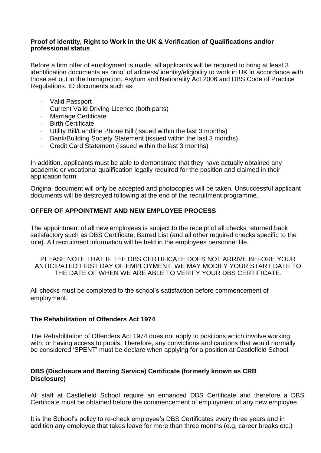#### **Proof of identity, Right to Work in the UK & Verification of Qualifications and/or professional status**

Before a firm offer of employment is made, all applicants will be required to bring at least 3 identification documents as proof of address/ identity/eligibility to work in UK in accordance with those set out in the Immigration, Asylum and Nationality Act 2006 and DBS Code of Practice Regulations. ID documents such as:

- · Valid Passport
- Current Valid Driving Licence (both parts)
- Marriage Certificate
- **Birth Certificate**
- · Utility Bill/Landline Phone Bill (issued within the last 3 months)
- Bank/Building Society Statement (issued within the last 3 months)
- · Credit Card Statement (issued within the last 3 months)

In addition, applicants must be able to demonstrate that they have actually obtained any academic or vocational qualification legally required for the position and claimed in their application form.

Original document will only be accepted and photocopies will be taken. Unsuccessful applicant documents will be destroyed following at the end of the recruitment programme.

# **OFFER OF APPOINTMENT AND NEW EMPLOYEE PROCESS**

The appointment of all new employees is subject to the receipt of all checks returned back satisfactory such as DBS Certificate, Barred List (and all other required checks specific to the role). All recruitment information will be held in the employees personnel file.

PLEASE NOTE THAT IF THE DBS CERTIFICATE DOES NOT ARRIVE BEFORE YOUR ANTICIPATED FIRST DAY OF EMPLOYMENT, WE MAY MODIFY YOUR START DATE TO THE DATE OF WHEN WE ARE ABLE TO VERIFY YOUR DBS CERTIFICATE.

All checks must be completed to the school's satisfaction before commencement of employment.

#### **The Rehabilitation of Offenders Act 1974**

The Rehabilitation of Offenders Act 1974 does not apply to positions which involve working with, or having access to pupils. Therefore, any convictions and cautions that would normally be considered 'SPENT' must be declare when applying for a position at Castlefield School.

# **DBS (Disclosure and Barring Service) Certificate (formerly known as CRB Disclosure)**

All staff at Castlefield School require an enhanced DBS Certificate and therefore a DBS Certificate must be obtained before the commencement of employment of any new employee.

It is the School's policy to re-check employee's DBS Certificates every three years and in addition any employee that takes leave for more than three months (e.g. career breaks etc.)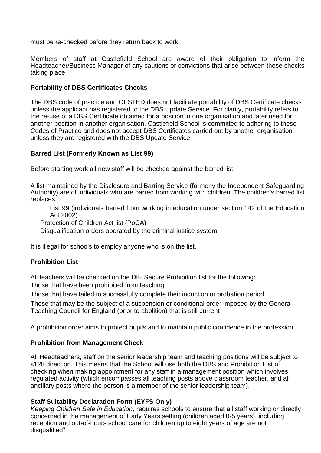must be re-checked before they return back to work.

Members of staff at Castlefield School are aware of their obligation to inform the Headteacher/Business Manager of any cautions or convictions that arise between these checks taking place.

# **Portability of DBS Certificates Checks**

The DBS code of practice and OFSTED does not facilitate portability of DBS Certificate checks unless the applicant has registered to the DBS Update Service. For clarity, portability refers to the re-use of a DBS Certificate obtained for a position in one organisation and later used for another position in another organisation. Castlefield School is committed to adhering to these Codes of Practice and does not accept DBS Certificates carried out by another organisation unless they are registered with the DBS Update Service.

# **Barred List (Formerly Known as List 99)**

Before starting work all new staff will be checked against the barred list.

A list maintained by the Disclosure and Barring Service (formerly the Independent Safeguarding Authority) are of individuals who are barred from working with children. The children's barred list replaces:

List 99 (individuals barred from working in education under section 142 of the Education Act 2002)

Protection of Children Act list (PoCA)

Disqualification orders operated by the criminal justice system.

It is illegal for schools to employ anyone who is on the list.

# **Prohibition List**

All teachers will be checked on the DfE Secure Prohibition list for the following: Those that have been prohibited from teaching

Those that have failed to successfully complete their induction or probation period

Those that may be the subject of a suspension or conditional order imposed by the General Teaching Council for England (prior to abolition) that is still current

A prohibition order aims to protect pupils and to maintain public confidence in the profession.

# **Prohibition from Management Check**

All Headteachers, staff on the senior leadership team and teaching positions will be subject to s128 direction. This means that the School will use both the DBS and Prohibition List of checking when making appointment for any staff in a management position which involves regulated activity (which encompasses all teaching posts above classroom teacher, and all ancillary posts where the person is a member of the senior leadership team).

# **Staff Suitability Declaration Form (EYFS Only)**

*Keeping Children Safe in Education*, requires schools to ensure that all staff working or directly concerned in the management of Early Years setting (children aged 0-5 years), including reception and out-of-hours school care for children up to eight years of age are not disqualified".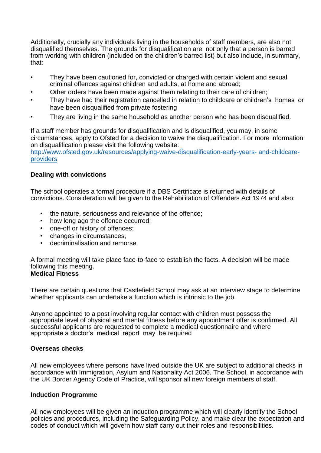Additionally, crucially any individuals living in the households of staff members, are also not disqualified themselves. The grounds for disqualification are, not only that a person is barred from working with children (included on the children's barred list) but also include, in summary, that:

- They have been cautioned for, convicted or charged with certain violent and sexual criminal offences against children and adults, at home and abroad;
- Other orders have been made against them relating to their care of children;
- They have had their registration cancelled in relation to childcare or children's homes or have been disqualified from private fostering
- They are living in the same household as another person who has been disqualified.

If a staff member has grounds for disqualification and is disqualified, you may, in some circumstances, apply to Ofsted for a decision to waive the disqualification. For more information on disqualification please visit the following website: [http://www.ofsted.gov.uk/resources/applying-waive-disqualification-early-years-](http://www.ofsted.gov.uk/resources/applying-waive-disqualification-early-years-and-childcare-providers) [and-childcare](http://www.ofsted.gov.uk/resources/applying-waive-disqualification-early-years-and-childcare-providers)[providers](http://www.ofsted.gov.uk/resources/applying-waive-disqualification-early-years-and-childcare-providers)

# **Dealing with convictions**

The school operates a formal procedure if a DBS Certificate is returned with details of convictions. Consideration will be given to the Rehabilitation of Offenders Act 1974 and also:

- the nature, seriousness and relevance of the offence;
- how long ago the offence occurred;
- one-off or history of offences;
- changes in circumstances,
- decriminalisation and remorse.

A formal meeting will take place face-to-face to establish the facts. A decision will be made following this meeting. **Medical Fitness**

There are certain questions that Castlefield School may ask at an interview stage to determine whether applicants can undertake a function which is intrinsic to the job.

Anyone appointed to a post involving regular contact with children must possess the appropriate level of physical and mental fitness before any appointment offer is confirmed. All successful applicants are requested to complete a medical questionnaire and where appropriate a doctor's medical report may be required

# **Overseas checks**

All new employees where persons have lived outside the UK are subject to additional checks in accordance with Immigration, Asylum and Nationality Act 2006. The School, in accordance with the UK Border Agency Code of Practice, will sponsor all new foreign members of staff.

# **Induction Programme**

All new employees will be given an induction programme which will clearly identify the School policies and procedures, including the Safeguarding Policy, and make clear the expectation and codes of conduct which will govern how staff carry out their roles and responsibilities.